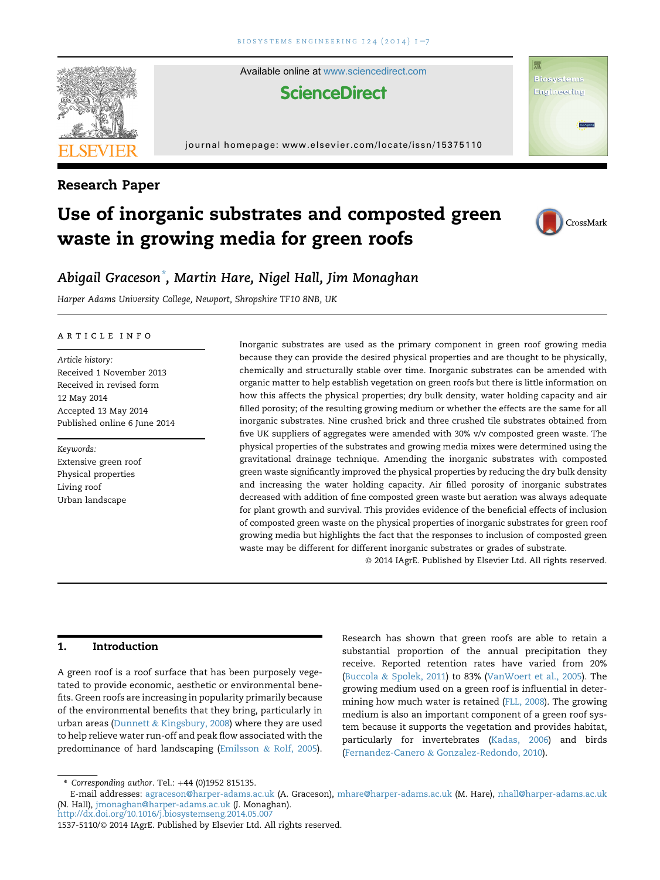

# Use of inorganic substrates and composted green waste in growing media for green roofs



## Abigail Graceson\* , Martin Hare, Nigel Hall, Jim Monaghan

Harper Adams University College, Newport, Shropshire TF10 8NB, UK

#### article info

Article history: Received 1 November 2013 Received in revised form 12 May 2014 Accepted 13 May 2014 Published online 6 June 2014

Keywords: Extensive green roof Physical properties Living roof Urban landscape

Inorganic substrates are used as the primary component in green roof growing media because they can provide the desired physical properties and are thought to be physically, chemically and structurally stable over time. Inorganic substrates can be amended with organic matter to help establish vegetation on green roofs but there is little information on how this affects the physical properties; dry bulk density, water holding capacity and air filled porosity; of the resulting growing medium or whether the effects are the same for all inorganic substrates. Nine crushed brick and three crushed tile substrates obtained from five UK suppliers of aggregates were amended with 30% v/v composted green waste. The physical properties of the substrates and growing media mixes were determined using the gravitational drainage technique. Amending the inorganic substrates with composted green waste significantly improved the physical properties by reducing the dry bulk density and increasing the water holding capacity. Air filled porosity of inorganic substrates decreased with addition of fine composted green waste but aeration was always adequate for plant growth and survival. This provides evidence of the beneficial effects of inclusion of composted green waste on the physical properties of inorganic substrates for green roof growing media but highlights the fact that the responses to inclusion of composted green waste may be different for different inorganic substrates or grades of substrate.

© 2014 IAgrE. Published by Elsevier Ltd. All rights reserved.

## 1. Introduction

A green roof is a roof surface that has been purposely vegetated to provide economic, aesthetic or environmental benefits. Green roofs are increasing in popularity primarily because of the environmental benefits that they bring, particularly in urban areas (Dunnett & Kingsbury, 2008) where they are used to help relieve water run-off and peak flow associated with the predominance of hard landscaping (Emilsson & Rolf, 2005).

Research has shown that green roofs are able to retain a substantial proportion of the annual precipitation they receive. Reported retention rates have varied from 20% (Buccola & Spolek, 2011) to 83% (VanWoert et al., 2005). The growing medium used on a green roof is influential in determining how much water is retained (FLL, 2008). The growing medium is also an important component of a green roof system because it supports the vegetation and provides habitat, particularly for invertebrates (Kadas, 2006) and birds (Fernandez-Canero & Gonzalez-Redondo, 2010).

<sup>\*</sup> Corresponding author. Tel.:  $+44$  (0)1952 815135.

E-mail addresses: [agraceson@harper-adams.ac.uk](mailto:agraceson@harper-adams.ac.uk) (A. Graceson), [mhare@harper-adams.ac.uk](mailto:mhare@harper-adams.ac.uk) (M. Hare), [nhall@harper-adams.ac.uk](mailto:nhall@harper-adams.ac.uk) (N. Hall), [jmonaghan@harper-adams.ac.uk](mailto:jmonaghan@harper-adams.ac.uk) (J. Monaghan).

<http://dx.doi.org/10.1016/j.biosystemseng.2014.05.007>

<sup>1537-5110/</sup>© 2014 IAgrE. Published by Elsevier Ltd. All rights reserved.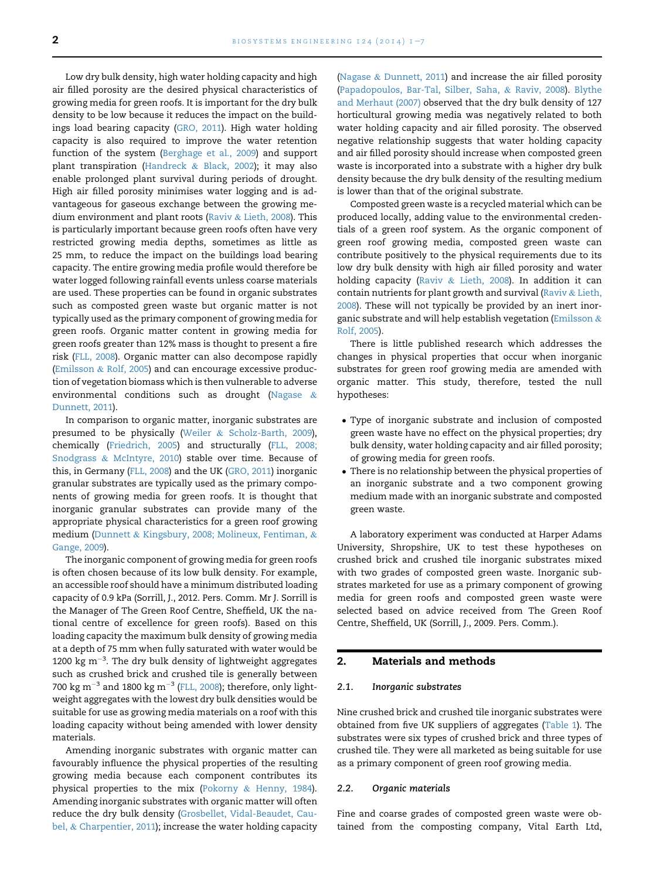Low dry bulk density, high water holding capacity and high air filled porosity are the desired physical characteristics of growing media for green roofs. It is important for the dry bulk density to be low because it reduces the impact on the buildings load bearing capacity (GRO, 2011). High water holding capacity is also required to improve the water retention function of the system (Berghage et al., 2009) and support plant transpiration (Handreck & Black, 2002); it may also enable prolonged plant survival during periods of drought. High air filled porosity minimises water logging and is advantageous for gaseous exchange between the growing medium environment and plant roots (Raviv & Lieth, 2008). This is particularly important because green roofs often have very restricted growing media depths, sometimes as little as 25 mm, to reduce the impact on the buildings load bearing capacity. The entire growing media profile would therefore be water logged following rainfall events unless coarse materials are used. These properties can be found in organic substrates such as composted green waste but organic matter is not typically used as the primary component of growing media for green roofs. Organic matter content in growing media for green roofs greater than 12% mass is thought to present a fire risk (FLL, 2008). Organic matter can also decompose rapidly (Emilsson & Rolf, 2005) and can encourage excessive production of vegetation biomass which is then vulnerable to adverse environmental conditions such as drought (Nagase & Dunnett, 2011).

In comparison to organic matter, inorganic substrates are presumed to be physically (Weiler & Scholz-Barth, 2009), chemically (Friedrich, 2005) and structurally (FLL, 2008; Snodgrass & McIntyre, 2010) stable over time. Because of this, in Germany (FLL, 2008) and the UK (GRO, 2011) inorganic granular substrates are typically used as the primary components of growing media for green roofs. It is thought that inorganic granular substrates can provide many of the appropriate physical characteristics for a green roof growing medium (Dunnett & Kingsbury, 2008; Molineux, Fentiman, & Gange, 2009).

The inorganic component of growing media for green roofs is often chosen because of its low bulk density. For example, an accessible roof should have a minimum distributed loading capacity of 0.9 kPa (Sorrill, J., 2012. Pers. Comm. Mr J. Sorrill is the Manager of The Green Roof Centre, Sheffield, UK the national centre of excellence for green roofs). Based on this loading capacity the maximum bulk density of growing media at a depth of 75 mm when fully saturated with water would be 1200  $\text{kg m}^{-3}$ . The dry bulk density of lightweight aggregates such as crushed brick and crushed tile is generally between 700 kg m<sup>-3</sup> and 1800 kg m<sup>-3</sup> (FLL, 2008); therefore, only lightweight aggregates with the lowest dry bulk densities would be suitable for use as growing media materials on a roof with this loading capacity without being amended with lower density materials.

Amending inorganic substrates with organic matter can favourably influence the physical properties of the resulting growing media because each component contributes its physical properties to the mix (Pokorny & Henny, 1984). Amending inorganic substrates with organic matter will often reduce the dry bulk density (Grosbellet, Vidal-Beaudet, Caubel, & Charpentier, 2011); increase the water holding capacity (Nagase & Dunnett, 2011) and increase the air filled porosity (Papadopoulos, Bar-Tal, Silber, Saha, & Raviv, 2008). Blythe and Merhaut (2007) observed that the dry bulk density of 127 horticultural growing media was negatively related to both water holding capacity and air filled porosity. The observed negative relationship suggests that water holding capacity and air filled porosity should increase when composted green waste is incorporated into a substrate with a higher dry bulk density because the dry bulk density of the resulting medium is lower than that of the original substrate.

Composted green waste is a recycled material which can be produced locally, adding value to the environmental credentials of a green roof system. As the organic component of green roof growing media, composted green waste can contribute positively to the physical requirements due to its low dry bulk density with high air filled porosity and water holding capacity (Raviv & Lieth, 2008). In addition it can contain nutrients for plant growth and survival (Raviv & Lieth, 2008). These will not typically be provided by an inert inorganic substrate and will help establish vegetation (Emilsson & Rolf, 2005).

There is little published research which addresses the changes in physical properties that occur when inorganic substrates for green roof growing media are amended with organic matter. This study, therefore, tested the null hypotheses:

- Type of inorganic substrate and inclusion of composted green waste have no effect on the physical properties; dry bulk density, water holding capacity and air filled porosity; of growing media for green roofs.
- There is no relationship between the physical properties of an inorganic substrate and a two component growing medium made with an inorganic substrate and composted green waste.

A laboratory experiment was conducted at Harper Adams University, Shropshire, UK to test these hypotheses on crushed brick and crushed tile inorganic substrates mixed with two grades of composted green waste. Inorganic substrates marketed for use as a primary component of growing media for green roofs and composted green waste were selected based on advice received from The Green Roof Centre, Sheffield, UK (Sorrill, J., 2009. Pers. Comm.).

## 2. Materials and methods

## 2.1. Inorganic substrates

Nine crushed brick and crushed tile inorganic substrates were obtained from five UK suppliers of aggregates (Table 1). The substrates were six types of crushed brick and three types of crushed tile. They were all marketed as being suitable for use as a primary component of green roof growing media.

### 2.2. Organic materials

Fine and coarse grades of composted green waste were obtained from the composting company, Vital Earth Ltd,